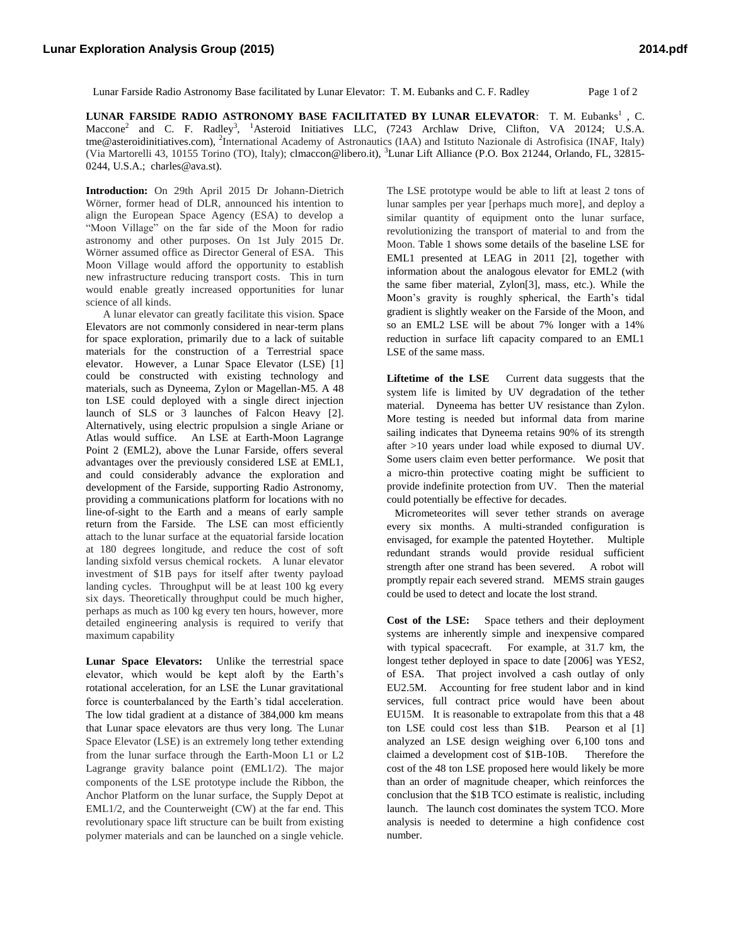Lunar Farside Radio Astronomy Base facilitated by Lunar Elevator: T. M. Eubanks and C. F. Radley Page 1 of 2

**LUNAR FARSIDE RADIO ASTRONOMY BASE FACILITATED BY LUNAR ELEVATOR: T. M. Eubanks<sup>1</sup>, C.** Maccone<sup>2</sup> and C. F. Radley<sup>3</sup>, <sup>1</sup>Asteroid Initiatives LLC, (7243 Archlaw Drive, Clifton, VA 20124; U.S.A. tme@asteroidinitiatives.com), <sup>2</sup>International Academy of Astronautics (IAA) and Istituto Nazionale di Astrofisica (INAF, Italy) (Via Martorelli 43, 10155 Torino (TO), Italy); clmaccon@libero.it), <sup>3</sup>Lunar Lift Alliance (P.O. Box 21244, Orlando, FL, 32815- 0244, U.S.A.; [charles@ava.st\)](mailto:charles@ava.st).

**Introduction:** On 29th April 2015 Dr Johann-Dietrich Wörner, former head of DLR, announced his intention to align the European Space Agency (ESA) to develop a "Moon Village" on the far side of the Moon for radio astronomy and other purposes. On 1st July 2015 Dr. Wörner assumed office as Director General of ESA. This Moon Village would afford the opportunity to establish new infrastructure reducing transport costs. This in turn would enable greatly increased opportunities for lunar science of all kinds.

A lunar elevator can greatly facilitate this vision. Space Elevators are not commonly considered in near-term plans for space exploration, primarily due to a lack of suitable materials for the construction of a Terrestrial space elevator. However, a Lunar Space Elevator (LSE) [1] could be constructed with existing technology and materials, such as Dyneema, Zylon or Magellan-M5. A 48 ton LSE could deployed with a single direct injection launch of SLS or 3 launches of Falcon Heavy [2]. Alternatively, using electric propulsion a single Ariane or Atlas would suffice. An LSE at Earth-Moon Lagrange Point 2 (EML2), above the Lunar Farside, offers several advantages over the previously considered LSE at EML1, and could considerably advance the exploration and development of the Farside, supporting Radio Astronomy, providing a communications platform for locations with no line-of-sight to the Earth and a means of early sample return from the Farside. The LSE can most efficiently attach to the lunar surface at the equatorial farside location at 180 degrees longitude, and reduce the cost of soft landing sixfold versus chemical rockets. A lunar elevator investment of \$1B pays for itself after twenty payload landing cycles. Throughput will be at least 100 kg every six days. Theoretically throughput could be much higher, perhaps as much as 100 kg every ten hours, however, more detailed engineering analysis is required to verify that maximum capability

**Lunar Space Elevators:** Unlike the terrestrial space elevator, which would be kept aloft by the Earth's rotational acceleration, for an LSE the Lunar gravitational force is counterbalanced by the Earth's tidal acceleration. The low tidal gradient at a distance of 384,000 km means that Lunar space elevators are thus very long. The Lunar Space Elevator (LSE) is an extremely long tether extending from the lunar surface through the Earth-Moon L1 or L2 Lagrange gravity balance point (EML1/2). The major components of the LSE prototype include the Ribbon, the Anchor Platform on the lunar surface, the Supply Depot at EML1/2, and the Counterweight (CW) at the far end. This revolutionary space lift structure can be built from existing polymer materials and can be launched on a single vehicle.

The LSE prototype would be able to lift at least 2 tons of lunar samples per year [perhaps much more], and deploy a similar quantity of equipment onto the lunar surface, revolutionizing the transport of material to and from the Moon. Table 1 shows some details of the baseline LSE for EML1 presented at LEAG in 2011 [2], together with information about the analogous elevator for EML2 (with the same fiber material, Zylon[3], mass, etc.). While the Moon's gravity is roughly spherical, the Earth's tidal gradient is slightly weaker on the Farside of the Moon, and so an EML2 LSE will be about 7% longer with a 14% reduction in surface lift capacity compared to an EML1 LSE of the same mass.

**Liftetime of the LSE** Current data suggests that the system life is limited by UV degradation of the tether material. Dyneema has better UV resistance than Zylon. More testing is needed but informal data from marine sailing indicates that Dyneema retains 90% of its strength after >10 years under load while exposed to diurnal UV. Some users claim even better performance. We posit that a micro-thin protective coating might be sufficient to provide indefinite protection from UV. Then the material could potentially be effective for decades.

 Micrometeorites will sever tether strands on average every six months. A multi-stranded configuration is envisaged, for example the patented Hoytether. Multiple redundant strands would provide residual sufficient strength after one strand has been severed. A robot will promptly repair each severed strand. MEMS strain gauges could be used to detect and locate the lost strand.

**Cost of the LSE:** Space tethers and their deployment systems are inherently simple and inexpensive compared with typical spacecraft. For example, at 31.7 km, the longest tether deployed in space to date [2006] was YES2, of ESA. That project involved a cash outlay of only EU2.5M. Accounting for free student labor and in kind services, full contract price would have been about EU15M. It is reasonable to extrapolate from this that a 48 ton LSE could cost less than \$1B. Pearson et al [1] analyzed an LSE design weighing over 6,100 tons and claimed a development cost of \$1B-10B. Therefore the cost of the 48 ton LSE proposed here would likely be more than an order of magnitude cheaper, which reinforces the conclusion that the \$1B TCO estimate is realistic, including launch. The launch cost dominates the system TCO. More analysis is needed to determine a high confidence cost number.